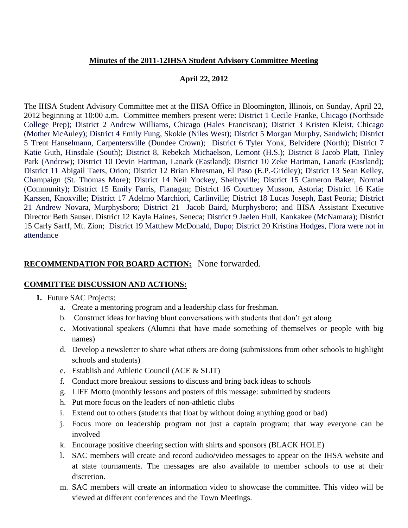### **Minutes of the 2011-12IHSA Student Advisory Committee Meeting**

## **April 22, 2012**

The IHSA Student Advisory Committee met at the IHSA Office in Bloomington, Illinois, on Sunday, April 22, 2012 beginning at 10:00 a.m. Committee members present were: District 1 Cecile Franke, Chicago (Northside College Prep); District 2 Andrew Williams, Chicago (Hales Franciscan); District 3 Kristen Kleist, Chicago (Mother McAuley); District 4 Emily Fung, Skokie (Niles West); District 5 Morgan Murphy, Sandwich; District 5 Trent Hanselmann, Carpentersville (Dundee Crown); District 6 Tyler Yonk, Belvidere (North); District 7 Katie Guth, Hinsdale (South); District 8, Rebekah Michaelson, Lemont (H.S.); District 8 Jacob Platt, Tinley Park (Andrew); District 10 Devin Hartman, Lanark (Eastland); District 10 Zeke Hartman, Lanark (Eastland); District 11 Abigail Taets, Orion; District 12 Brian Ehresman, El Paso (E.P.-Gridley); District 13 Sean Kelley, Champaign (St. Thomas More); District 14 Neil Yockey, Shelbyville; District 15 Cameron Baker, Normal (Community); District 15 Emily Farris, Flanagan; District 16 Courtney Musson, Astoria; District 16 Katie Karssen, Knoxville; District 17 Adelmo Marchiori, Carlinville; District 18 Lucas Joseph, East Peoria; District 21 Andrew Novara, Murphysboro; District 21 Jacob Baird, Murphysboro; and IHSA Assistant Executive Director Beth Sauser. District 12 Kayla Haines, Seneca; District 9 Jaelen Hull, Kankakee (McNamara); District 15 Carly Sarff, Mt. Zion; District 19 Matthew McDonald, Dupo; District 20 Kristina Hodges, Flora were not in attendance

# **RECOMMENDATION FOR BOARD ACTION:** None forwarded.

### **COMMITTEE DISCUSSION AND ACTIONS:**

- **1.** Future SAC Projects:
	- a. Create a mentoring program and a leadership class for freshman.
	- b. Construct ideas for having blunt conversations with students that don't get along
	- c. Motivational speakers (Alumni that have made something of themselves or people with big names)
	- d. Develop a newsletter to share what others are doing (submissions from other schools to highlight schools and students)
	- e. Establish and Athletic Council (ACE & SLIT)
	- f. Conduct more breakout sessions to discuss and bring back ideas to schools
	- g. LIFE Motto (monthly lessons and posters of this message: submitted by students
	- h. Put more focus on the leaders of non-athletic clubs
	- i. Extend out to others (students that float by without doing anything good or bad)
	- j. Focus more on leadership program not just a captain program; that way everyone can be involved
	- k. Encourage positive cheering section with shirts and sponsors (BLACK HOLE)
	- l. SAC members will create and record audio/video messages to appear on the IHSA website and at state tournaments. The messages are also available to member schools to use at their discretion.
	- m. SAC members will create an information video to showcase the committee. This video will be viewed at different conferences and the Town Meetings.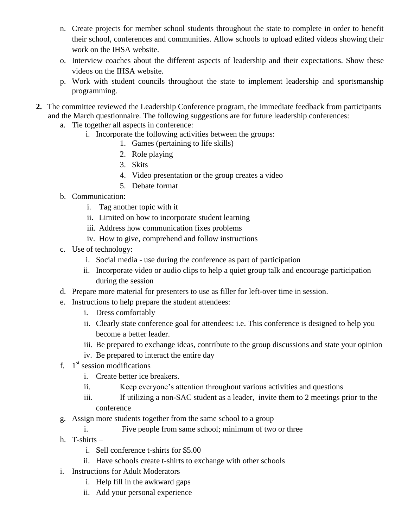- n. Create projects for member school students throughout the state to complete in order to benefit their school, conferences and communities. Allow schools to upload edited videos showing their work on the IHSA website.
- o. Interview coaches about the different aspects of leadership and their expectations. Show these videos on the IHSA website.
- p. Work with student councils throughout the state to implement leadership and sportsmanship programming.
- **2.** The committee reviewed the Leadership Conference program, the immediate feedback from participants and the March questionnaire. The following suggestions are for future leadership conferences:
	- a. Tie together all aspects in conference:
		- i. Incorporate the following activities between the groups:
			- 1. Games (pertaining to life skills)
			- 2. Role playing
			- 3. Skits
			- 4. Video presentation or the group creates a video
			- 5. Debate format
	- b. Communication:
		- i. Tag another topic with it
		- ii. Limited on how to incorporate student learning
		- iii. Address how communication fixes problems
		- iv. How to give, comprehend and follow instructions
	- c. Use of technology:
		- i. Social media use during the conference as part of participation
		- ii. Incorporate video or audio clips to help a quiet group talk and encourage participation during the session
	- d. Prepare more material for presenters to use as filler for left-over time in session.
	- e. Instructions to help prepare the student attendees:
		- i. Dress comfortably
		- ii. Clearly state conference goal for attendees: i.e. This conference is designed to help you become a better leader.
		- iii. Be prepared to exchange ideas, contribute to the group discussions and state your opinion
		- iv. Be prepared to interact the entire day
	- f.  $1<sup>st</sup>$  session modifications
		- i. Create better ice breakers.
		- ii. Keep everyone's attention throughout various activities and questions
		- iii. If utilizing a non-SAC student as a leader, invite them to 2 meetings prior to the conference
	- g. Assign more students together from the same school to a group
		- i. Five people from same school; minimum of two or three
	- h. T-shirts
		- i. Sell conference t-shirts for \$5.00
		- ii. Have schools create t-shirts to exchange with other schools
	- i. Instructions for Adult Moderators
		- i. Help fill in the awkward gaps
		- ii. Add your personal experience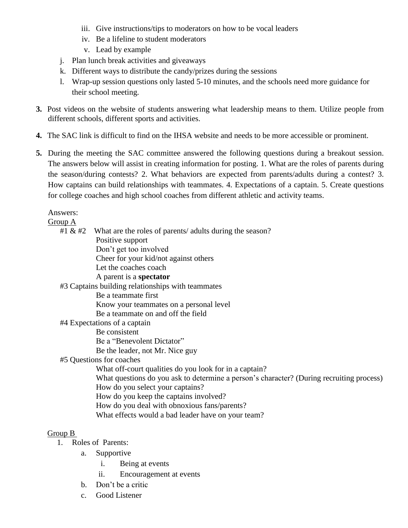- iii. Give instructions/tips to moderators on how to be vocal leaders
- iv. Be a lifeline to student moderators
- v. Lead by example
- j. Plan lunch break activities and giveaways
- k. Different ways to distribute the candy/prizes during the sessions
- l. Wrap-up session questions only lasted 5-10 minutes, and the schools need more guidance for their school meeting.
- **3.** Post videos on the website of students answering what leadership means to them. Utilize people from different schools, different sports and activities.
- **4.** The SAC link is difficult to find on the IHSA website and needs to be more accessible or prominent.
- **5.** During the meeting the SAC committee answered the following questions during a breakout session. The answers below will assist in creating information for posting. 1. What are the roles of parents during the season/during contests? 2. What behaviors are expected from parents/adults during a contest? 3. How captains can build relationships with teammates. 4. Expectations of a captain. 5. Create questions for college coaches and high school coaches from different athletic and activity teams.

Answers:

#### Group A

#1  $\&$  #2 What are the roles of parents/ adults during the season? Positive support Don't get too involved Cheer for your kid/not against others Let the coaches coach A parent is a **spectator** #3 Captains building relationships with teammates Be a teammate first Know your teammates on a personal level Be a teammate on and off the field #4 Expectations of a captain Be consistent Be a "Benevolent Dictator" Be the leader, not Mr. Nice guy #5 Questions for coaches What off-court qualities do you look for in a captain? What questions do you ask to determine a person's character? (During recruiting process) How do you select your captains? How do you keep the captains involved? How do you deal with obnoxious fans/parents? What effects would a bad leader have on your team?

### Group B

- 1. Roles of Parents:
	- a. Supportive
		- i. Being at events
		- ii. Encouragement at events
	- b. Don't be a critic
	- c. Good Listener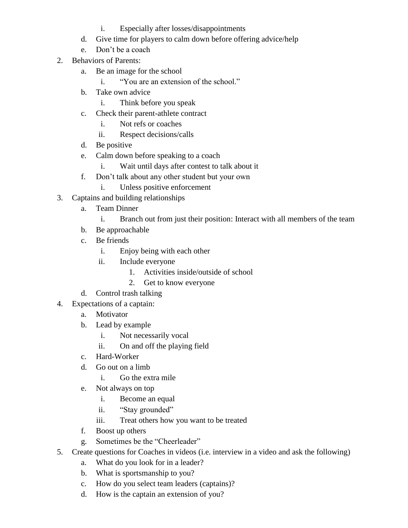- i. Especially after losses/disappointments
- d. Give time for players to calm down before offering advice/help
- e. Don't be a coach
- 2. Behaviors of Parents:
	- a. Be an image for the school
		- i. "You are an extension of the school."
	- b. Take own advice
		- i. Think before you speak
	- c. Check their parent-athlete contract
		- i. Not refs or coaches
		- ii. Respect decisions/calls
	- d. Be positive
	- e. Calm down before speaking to a coach
		- i. Wait until days after contest to talk about it
	- f. Don't talk about any other student but your own
		- i. Unless positive enforcement
- 3. Captains and building relationships
	- a. Team Dinner
		- i. Branch out from just their position: Interact with all members of the team
	- b. Be approachable
	- c. Be friends
		- i. Enjoy being with each other
		- ii. Include everyone
			- 1. Activities inside/outside of school
			- 2. Get to know everyone
	- d. Control trash talking
- 4. Expectations of a captain:
	- a. Motivator
	- b. Lead by example
		- i. Not necessarily vocal
		- ii. On and off the playing field
	- c. Hard-Worker
	- d. Go out on a limb
		- i. Go the extra mile
	- e. Not always on top
		- i. Become an equal
		- ii. "Stay grounded"
		- iii. Treat others how you want to be treated
	- f. Boost up others
	- g. Sometimes be the "Cheerleader"
- 5. Create questions for Coaches in videos (i.e. interview in a video and ask the following)
	- a. What do you look for in a leader?
	- b. What is sportsmanship to you?
	- c. How do you select team leaders (captains)?
	- d. How is the captain an extension of you?